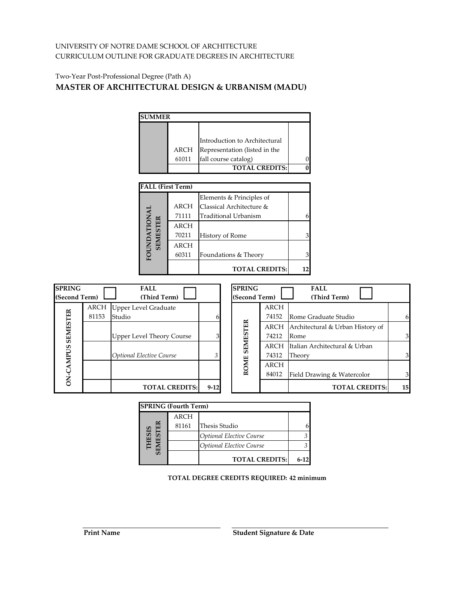## Two‐Year Post‐Professional Degree (Path A) **MASTER OF ARCHITECTURAL DESIGN & URBANISM (MADU)**

| <b>SUMMER</b> |       |                               |  |
|---------------|-------|-------------------------------|--|
|               |       |                               |  |
|               |       | Introduction to Architectural |  |
|               | ARCH  | Representation (listed in the |  |
|               | 61011 | fall course catalog)          |  |
|               |       | <b>TOTAL CREDITS:</b>         |  |
|               |       |                               |  |

| <b>FALL (First Term)</b> |             |                             |  |
|--------------------------|-------------|-----------------------------|--|
|                          |             | Elements & Principles of    |  |
|                          | <b>ARCH</b> | Classical Architecture &    |  |
| <b>NAL</b>               | 71111       | <b>Traditional Urbanism</b> |  |
|                          | <b>ARCH</b> |                             |  |
| <b>SEMESTER</b>          | 70211       | History of Rome             |  |
|                          | <b>ARCH</b> |                             |  |
| FOUNI                    | 60311       | Foundations & Theory        |  |
|                          |             | <b>TOTAL CREDITS:</b>       |  |

| <b>SPRING</b><br>(Second Term) |       | <b>FALL</b><br>(Third Term)      |          | <b>SPRING</b><br>(Second Term) |             | <b>FALL</b><br>(Third Term)      |    |
|--------------------------------|-------|----------------------------------|----------|--------------------------------|-------------|----------------------------------|----|
|                                | ARCH  | Upper Level Graduate             |          |                                | <b>ARCH</b> |                                  |    |
|                                | 81153 | Studio                           | 61       |                                | 74152       | Rome Graduate Studio             | 6  |
| <b>SEMESTER</b>                |       |                                  |          | ROME SEMESTER                  | ARCH        | Architectural & Urban History of |    |
|                                |       | <b>Upper Level Theory Course</b> | 31       |                                | 74212       | Rome                             | 31 |
|                                |       |                                  |          |                                | ARCH        | Italian Architectural & Urban    |    |
|                                |       | <b>Optional Elective Course</b>  | 3        |                                | 74312       | Theory                           |    |
|                                |       |                                  |          |                                | <b>ARCH</b> |                                  |    |
| <b>ON-CAMPUS</b>               |       |                                  |          |                                | 84012       | Field Drawing & Watercolor       | 3  |
|                                |       | <b>TOTAL CREDITS:</b>            | $9 - 12$ |                                |             | <b>TOTAL CREDITS:</b>            | 15 |

|                   |                            | <b>SPRING</b> (Fourth Term) |                                                |          |
|-------------------|----------------------------|-----------------------------|------------------------------------------------|----------|
|                   |                            | ARCH                        |                                                |          |
|                   |                            | 81161                       | Thesis Studio                                  | 6        |
|                   |                            |                             | <b>Optional Elective Course</b>                | 3        |
|                   | <b>THESIS<br/>SEMESTER</b> |                             | <b>Optional Elective Course</b>                | 3        |
|                   |                            |                             | <b>TOTAL CREDITS:</b>                          | $6 - 12$ |
|                   |                            |                             | <b>TOTAL DEGREE CREDITS REQUIRED: 42 minin</b> |          |
| <b>Print Name</b> |                            |                             | Student Signature & Date                       |          |

**TOTAL DEGREE CREDITS REQUIRED: 42 minimum**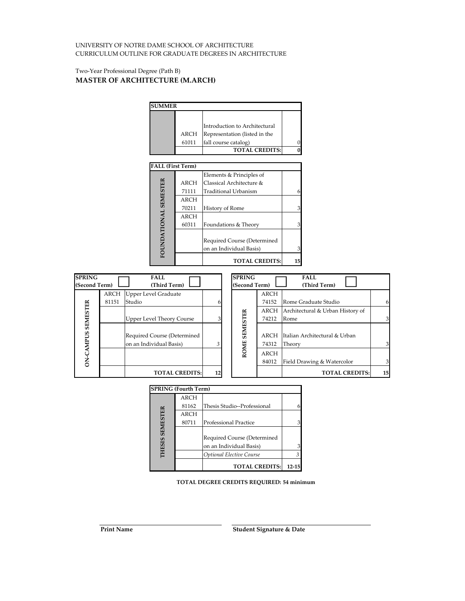#### Two‐Year Professional Degree (Path B) **MASTER OF ARCHITECTURE (M.ARCH)**



|                 | <b>SPRING (Fourth Term)</b> |                                 |           |
|-----------------|-----------------------------|---------------------------------|-----------|
|                 | <b>ARCH</b>                 |                                 |           |
|                 | 81162                       | Thesis Studio--Professional     |           |
|                 | <b>ARCH</b>                 |                                 |           |
| <b>SEMESTER</b> | 80711                       | Professional Practice           |           |
|                 |                             |                                 |           |
|                 |                             | Required Course (Determined     |           |
| <b>THESIS</b>   |                             | on an Individual Basis)         |           |
|                 |                             | <b>Optional Elective Course</b> |           |
|                 |                             | <b>TOTAL CREDITS:</b>           | $12 - 15$ |

**TOTAL DEGREE CREDITS REQUIRED: 54 minimum**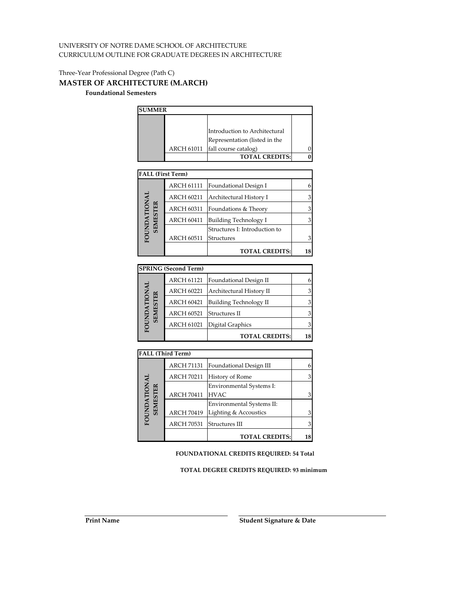# Three‐Year Professional Degree (Path C) **MASTER OF ARCHITECTURE (M.ARCH)**

## **Foundational Semesters**

| <b>SUMMER</b> |            |                               |  |
|---------------|------------|-------------------------------|--|
|               |            |                               |  |
|               |            | Introduction to Architectural |  |
|               |            | Representation (listed in the |  |
|               | ARCH 61011 | fall course catalog)          |  |
|               |            | <b>TOTAL CREDITS:</b>         |  |

| <b>FALL (First Term)</b> |                   |                               |  |
|--------------------------|-------------------|-------------------------------|--|
|                          | <b>ARCH 61111</b> | Foundational Design I         |  |
| DNAL                     | <b>ARCH 60211</b> | Architectural History I       |  |
| <b>SEMESTER</b>          | <b>ARCH 60311</b> | Foundations & Theory          |  |
|                          | <b>ARCH 60411</b> | Building Technology I         |  |
|                          |                   | Structures I: Introduction to |  |
| FOUN                     | <b>ARCH 60511</b> | Structures                    |  |
|                          |                   | <b>TOTAL CREDITS:</b>         |  |

|                   | <b>SPRING (Second Term)</b> |                               |    |
|-------------------|-----------------------------|-------------------------------|----|
|                   | <b>ARCH 61121</b>           | Foundational Design II        |    |
| <b>IANO</b><br>ER | <b>ARCH 60221</b>           | Architectural History II      |    |
|                   | <b>ARCH 60421</b>           | <b>Building Technology II</b> |    |
| <b>SEMEST</b>     | <b>ARCH 60521</b>           | Structures II                 |    |
| <b>FOUNI</b>      | <b>ARCH 61021</b>           | Digital Graphics              |    |
|                   |                             | <b>TOTAL CREDITS:</b>         | 18 |

|                          | <b>FALL (Third Term)</b> |                           |    |
|--------------------------|--------------------------|---------------------------|----|
|                          | <b>ARCH 71131</b>        | Foundational Design III   | 6  |
|                          | <b>ARCH 70211</b>        | History of Rome           | 3  |
|                          |                          | Environmental Systems I:  |    |
|                          | <b>ARCH 70411</b>        | <b>HVAC</b>               | 3  |
|                          |                          | Environmental Systems II: |    |
|                          | <b>ARCH 70419</b>        | Lighting & Accoustics     | 3  |
| FOUNDATIONAL<br>SEMESTER | <b>ARCH 70531</b>        | Structures III            | 3  |
|                          |                          | <b>TOTAL CREDITS:</b>     | 18 |

**FOUNDATIONAL CREDITS REQUIRED: 54 Total**

**TOTAL DEGREE CREDITS REQUIRED: 93 minimum**